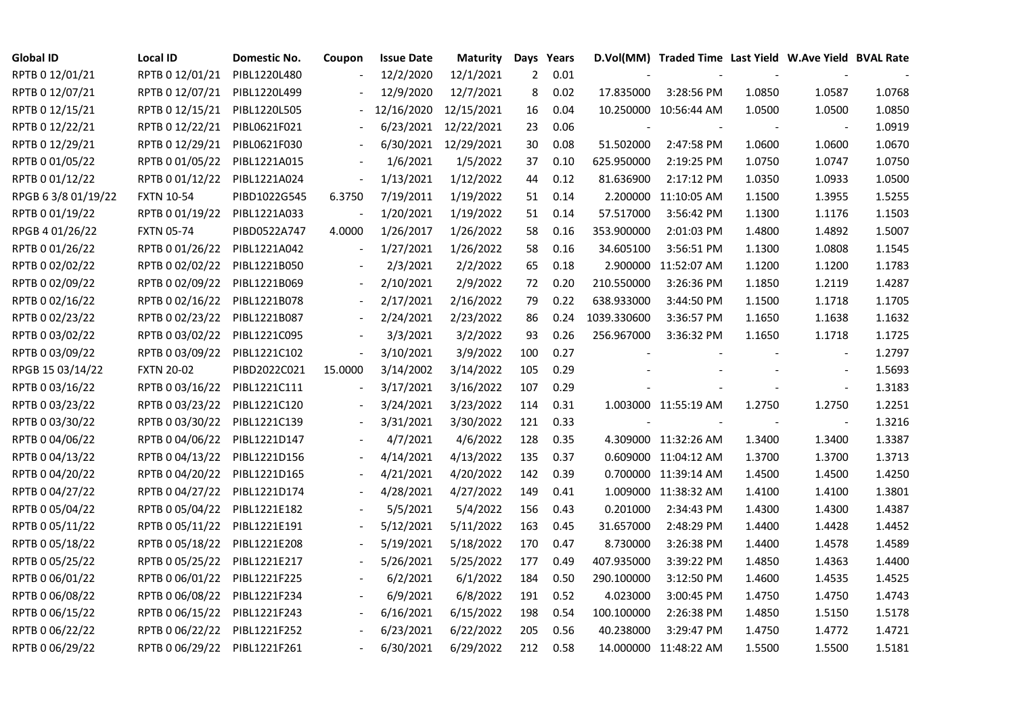| <b>Global ID</b>   | <b>Local ID</b>   | Domestic No. | Coupon                   | <b>Issue Date</b> | <b>Maturity</b>      |     | Days Years |             | D.Vol(MM) Traded Time Last Yield W.Ave Yield BVAL Rate |                |                          |        |
|--------------------|-------------------|--------------|--------------------------|-------------------|----------------------|-----|------------|-------------|--------------------------------------------------------|----------------|--------------------------|--------|
| RPTB 0 12/01/21    | RPTB 0 12/01/21   | PIBL1220L480 |                          | 12/2/2020         | 12/1/2021            | 2   | 0.01       |             |                                                        |                |                          |        |
| RPTB 0 12/07/21    | RPTB 0 12/07/21   | PIBL1220L499 |                          | 12/9/2020         | 12/7/2021            | 8   | 0.02       | 17.835000   | 3:28:56 PM                                             | 1.0850         | 1.0587                   | 1.0768 |
| RPTB 0 12/15/21    | RPTB 0 12/15/21   | PIBL1220L505 |                          | 12/16/2020        | 12/15/2021           | 16  | 0.04       |             | 10.250000 10:56:44 AM                                  | 1.0500         | 1.0500                   | 1.0850 |
| RPTB 0 12/22/21    | RPTB 0 12/22/21   | PIBL0621F021 |                          |                   | 6/23/2021 12/22/2021 | 23  | 0.06       |             |                                                        |                | $\sim$                   | 1.0919 |
| RPTB 0 12/29/21    | RPTB 0 12/29/21   | PIBL0621F030 |                          |                   | 6/30/2021 12/29/2021 | 30  | 0.08       | 51.502000   | 2:47:58 PM                                             | 1.0600         | 1.0600                   | 1.0670 |
| RPTB 0 01/05/22    | RPTB 0 01/05/22   | PIBL1221A015 |                          | 1/6/2021          | 1/5/2022             | 37  | 0.10       | 625.950000  | 2:19:25 PM                                             | 1.0750         | 1.0747                   | 1.0750 |
| RPTB 0 01/12/22    | RPTB 0 01/12/22   | PIBL1221A024 | $\overline{\phantom{a}}$ | 1/13/2021         | 1/12/2022            | 44  | 0.12       | 81.636900   | 2:17:12 PM                                             | 1.0350         | 1.0933                   | 1.0500 |
| RPGB 63/8 01/19/22 | <b>FXTN 10-54</b> | PIBD1022G545 | 6.3750                   | 7/19/2011         | 1/19/2022            | 51  | 0.14       |             | 2.200000 11:10:05 AM                                   | 1.1500         | 1.3955                   | 1.5255 |
| RPTB 0 01/19/22    | RPTB 0 01/19/22   | PIBL1221A033 |                          | 1/20/2021         | 1/19/2022            | 51  | 0.14       | 57.517000   | 3:56:42 PM                                             | 1.1300         | 1.1176                   | 1.1503 |
| RPGB 4 01/26/22    | <b>FXTN 05-74</b> | PIBD0522A747 | 4.0000                   | 1/26/2017         | 1/26/2022            | 58  | 0.16       | 353.900000  | 2:01:03 PM                                             | 1.4800         | 1.4892                   | 1.5007 |
| RPTB 0 01/26/22    | RPTB 0 01/26/22   | PIBL1221A042 | $\overline{a}$           | 1/27/2021         | 1/26/2022            | 58  | 0.16       | 34.605100   | 3:56:51 PM                                             | 1.1300         | 1.0808                   | 1.1545 |
| RPTB 0 02/02/22    | RPTB 0 02/02/22   | PIBL1221B050 |                          | 2/3/2021          | 2/2/2022             | 65  | 0.18       | 2.900000    | 11:52:07 AM                                            | 1.1200         | 1.1200                   | 1.1783 |
| RPTB 0 02/09/22    | RPTB 0 02/09/22   | PIBL1221B069 |                          | 2/10/2021         | 2/9/2022             | 72  | 0.20       | 210.550000  | 3:26:36 PM                                             | 1.1850         | 1.2119                   | 1.4287 |
| RPTB 0 02/16/22    | RPTB 0 02/16/22   | PIBL1221B078 |                          | 2/17/2021         | 2/16/2022            | 79  | 0.22       | 638.933000  | 3:44:50 PM                                             | 1.1500         | 1.1718                   | 1.1705 |
| RPTB 0 02/23/22    | RPTB 0 02/23/22   | PIBL1221B087 |                          | 2/24/2021         | 2/23/2022            | 86  | 0.24       | 1039.330600 | 3:36:57 PM                                             | 1.1650         | 1.1638                   | 1.1632 |
| RPTB 0 03/02/22    | RPTB 0 03/02/22   | PIBL1221C095 |                          | 3/3/2021          | 3/2/2022             | 93  | 0.26       | 256.967000  | 3:36:32 PM                                             | 1.1650         | 1.1718                   | 1.1725 |
| RPTB 0 03/09/22    | RPTB 0 03/09/22   | PIBL1221C102 | $\blacksquare$           | 3/10/2021         | 3/9/2022             | 100 | 0.27       |             |                                                        |                | $\overline{\phantom{a}}$ | 1.2797 |
| RPGB 15 03/14/22   | <b>FXTN 20-02</b> | PIBD2022C021 | 15.0000                  | 3/14/2002         | 3/14/2022            | 105 | 0.29       |             |                                                        |                | $\overline{\phantom{a}}$ | 1.5693 |
| RPTB 0 03/16/22    | RPTB 0 03/16/22   | PIBL1221C111 |                          | 3/17/2021         | 3/16/2022            | 107 | 0.29       |             |                                                        |                | $\overline{\phantom{a}}$ | 1.3183 |
| RPTB 0 03/23/22    | RPTB 0 03/23/22   | PIBL1221C120 |                          | 3/24/2021         | 3/23/2022            | 114 | 0.31       |             | 1.003000 11:55:19 AM                                   | 1.2750         | 1.2750                   | 1.2251 |
| RPTB 0 03/30/22    | RPTB 0 03/30/22   | PIBL1221C139 |                          | 3/31/2021         | 3/30/2022            | 121 | 0.33       |             |                                                        | $\blacksquare$ | $\blacksquare$           | 1.3216 |
| RPTB 0 04/06/22    | RPTB 0 04/06/22   | PIBL1221D147 |                          | 4/7/2021          | 4/6/2022             | 128 | 0.35       |             | 4.309000 11:32:26 AM                                   | 1.3400         | 1.3400                   | 1.3387 |
| RPTB 0 04/13/22    | RPTB 0 04/13/22   | PIBL1221D156 |                          | 4/14/2021         | 4/13/2022            | 135 | 0.37       |             | 0.609000 11:04:12 AM                                   | 1.3700         | 1.3700                   | 1.3713 |
| RPTB 0 04/20/22    | RPTB 0 04/20/22   | PIBL1221D165 |                          | 4/21/2021         | 4/20/2022            | 142 | 0.39       |             | 0.700000 11:39:14 AM                                   | 1.4500         | 1.4500                   | 1.4250 |
| RPTB 0 04/27/22    | RPTB 0 04/27/22   | PIBL1221D174 |                          | 4/28/2021         | 4/27/2022            | 149 | 0.41       |             | 1.009000 11:38:32 AM                                   | 1.4100         | 1.4100                   | 1.3801 |
| RPTB 0 05/04/22    | RPTB 0 05/04/22   | PIBL1221E182 |                          | 5/5/2021          | 5/4/2022             | 156 | 0.43       | 0.201000    | 2:34:43 PM                                             | 1.4300         | 1.4300                   | 1.4387 |
| RPTB 0 05/11/22    | RPTB 0 05/11/22   | PIBL1221E191 |                          | 5/12/2021         | 5/11/2022            | 163 | 0.45       | 31.657000   | 2:48:29 PM                                             | 1.4400         | 1.4428                   | 1.4452 |
| RPTB 0 05/18/22    | RPTB 0 05/18/22   | PIBL1221E208 |                          | 5/19/2021         | 5/18/2022            | 170 | 0.47       | 8.730000    | 3:26:38 PM                                             | 1.4400         | 1.4578                   | 1.4589 |
| RPTB 0 05/25/22    | RPTB 0 05/25/22   | PIBL1221E217 |                          | 5/26/2021         | 5/25/2022            | 177 | 0.49       | 407.935000  | 3:39:22 PM                                             | 1.4850         | 1.4363                   | 1.4400 |
| RPTB 0 06/01/22    | RPTB 0 06/01/22   | PIBL1221F225 |                          | 6/2/2021          | 6/1/2022             | 184 | 0.50       | 290.100000  | 3:12:50 PM                                             | 1.4600         | 1.4535                   | 1.4525 |
| RPTB 0 06/08/22    | RPTB 0 06/08/22   | PIBL1221F234 |                          | 6/9/2021          | 6/8/2022             | 191 | 0.52       | 4.023000    | 3:00:45 PM                                             | 1.4750         | 1.4750                   | 1.4743 |
| RPTB 0 06/15/22    | RPTB 0 06/15/22   | PIBL1221F243 |                          | 6/16/2021         | 6/15/2022            | 198 | 0.54       | 100.100000  | 2:26:38 PM                                             | 1.4850         | 1.5150                   | 1.5178 |
| RPTB 0 06/22/22    | RPTB 0 06/22/22   | PIBL1221F252 |                          | 6/23/2021         | 6/22/2022            | 205 | 0.56       | 40.238000   | 3:29:47 PM                                             | 1.4750         | 1.4772                   | 1.4721 |
| RPTB 0 06/29/22    | RPTB 0 06/29/22   | PIBL1221F261 |                          | 6/30/2021         | 6/29/2022            | 212 | 0.58       |             | 14.000000 11:48:22 AM                                  | 1.5500         | 1.5500                   | 1.5181 |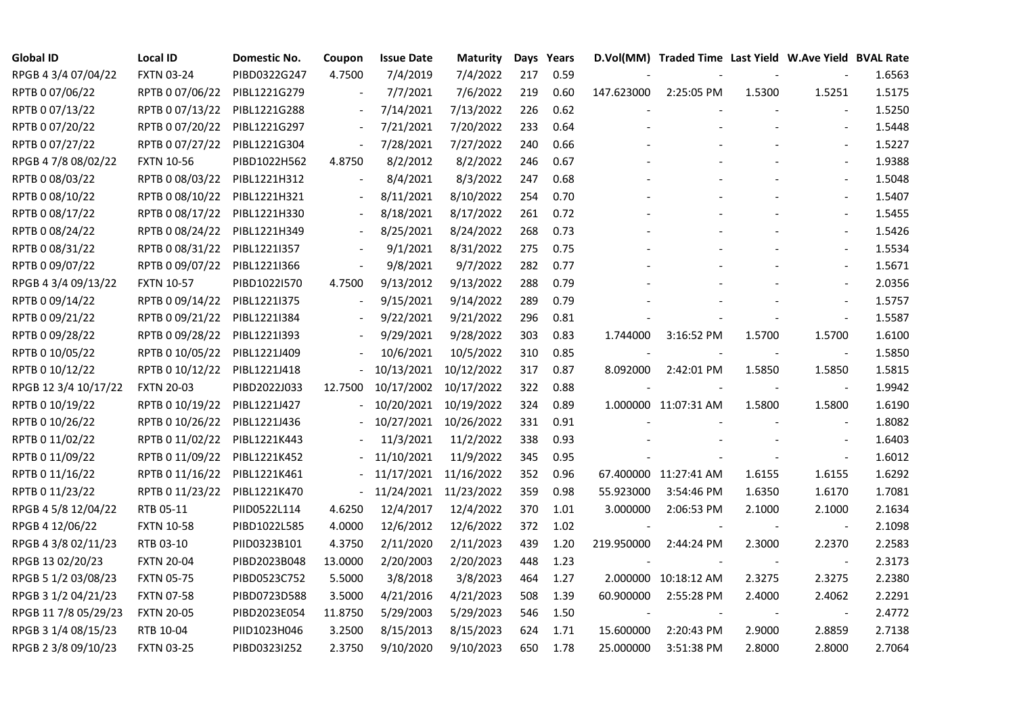| <b>Global ID</b>     | <b>Local ID</b>   | Domestic No. | Coupon                   | <b>Issue Date</b> | <b>Maturity</b> |     | Days Years |            | D.Vol(MM) Traded Time Last Yield W.Ave Yield BVAL Rate |        |                          |        |
|----------------------|-------------------|--------------|--------------------------|-------------------|-----------------|-----|------------|------------|--------------------------------------------------------|--------|--------------------------|--------|
| RPGB 4 3/4 07/04/22  | <b>FXTN 03-24</b> | PIBD0322G247 | 4.7500                   | 7/4/2019          | 7/4/2022        | 217 | 0.59       |            |                                                        |        |                          | 1.6563 |
| RPTB 0 07/06/22      | RPTB 0 07/06/22   | PIBL1221G279 |                          | 7/7/2021          | 7/6/2022        | 219 | 0.60       | 147.623000 | 2:25:05 PM                                             | 1.5300 | 1.5251                   | 1.5175 |
| RPTB 0 07/13/22      | RPTB 0 07/13/22   | PIBL1221G288 | $\overline{\phantom{a}}$ | 7/14/2021         | 7/13/2022       | 226 | 0.62       |            |                                                        |        |                          | 1.5250 |
| RPTB 0 07/20/22      | RPTB 0 07/20/22   | PIBL1221G297 | $\blacksquare$           | 7/21/2021         | 7/20/2022       | 233 | 0.64       |            |                                                        |        | $\blacksquare$           | 1.5448 |
| RPTB 0 07/27/22      | RPTB 0 07/27/22   | PIBL1221G304 | $\blacksquare$           | 7/28/2021         | 7/27/2022       | 240 | 0.66       |            |                                                        |        | $\blacksquare$           | 1.5227 |
| RPGB 4 7/8 08/02/22  | <b>FXTN 10-56</b> | PIBD1022H562 | 4.8750                   | 8/2/2012          | 8/2/2022        | 246 | 0.67       |            |                                                        |        |                          | 1.9388 |
| RPTB 0 08/03/22      | RPTB 0 08/03/22   | PIBL1221H312 | $\blacksquare$           | 8/4/2021          | 8/3/2022        | 247 | 0.68       |            |                                                        |        | $\blacksquare$           | 1.5048 |
| RPTB 0 08/10/22      | RPTB 0 08/10/22   | PIBL1221H321 | $\overline{\phantom{a}}$ | 8/11/2021         | 8/10/2022       | 254 | 0.70       |            |                                                        |        | $\blacksquare$           | 1.5407 |
| RPTB 0 08/17/22      | RPTB 0 08/17/22   | PIBL1221H330 |                          | 8/18/2021         | 8/17/2022       | 261 | 0.72       |            |                                                        |        |                          | 1.5455 |
| RPTB 0 08/24/22      | RPTB 0 08/24/22   | PIBL1221H349 | $\overline{\phantom{a}}$ | 8/25/2021         | 8/24/2022       | 268 | 0.73       |            |                                                        |        | $\overline{\phantom{a}}$ | 1.5426 |
| RPTB 0 08/31/22      | RPTB 0 08/31/22   | PIBL1221I357 | $\overline{\phantom{a}}$ | 9/1/2021          | 8/31/2022       | 275 | 0.75       |            |                                                        |        | $\blacksquare$           | 1.5534 |
| RPTB 0 09/07/22      | RPTB 0 09/07/22   | PIBL1221I366 | $\overline{\phantom{a}}$ | 9/8/2021          | 9/7/2022        | 282 | 0.77       |            |                                                        |        | $\overline{\phantom{a}}$ | 1.5671 |
| RPGB 4 3/4 09/13/22  | <b>FXTN 10-57</b> | PIBD1022I570 | 4.7500                   | 9/13/2012         | 9/13/2022       | 288 | 0.79       |            |                                                        |        |                          | 2.0356 |
| RPTB 0 09/14/22      | RPTB 0 09/14/22   | PIBL1221I375 | $\overline{\phantom{a}}$ | 9/15/2021         | 9/14/2022       | 289 | 0.79       |            |                                                        |        | $\overline{\phantom{a}}$ | 1.5757 |
| RPTB 0 09/21/22      | RPTB 0 09/21/22   | PIBL1221I384 |                          | 9/22/2021         | 9/21/2022       | 296 | 0.81       |            |                                                        |        | $\blacksquare$           | 1.5587 |
| RPTB 0 09/28/22      | RPTB 0 09/28/22   | PIBL1221I393 |                          | 9/29/2021         | 9/28/2022       | 303 | 0.83       | 1.744000   | 3:16:52 PM                                             | 1.5700 | 1.5700                   | 1.6100 |
| RPTB 0 10/05/22      | RPTB 0 10/05/22   | PIBL1221J409 |                          | 10/6/2021         | 10/5/2022       | 310 | 0.85       |            |                                                        |        |                          | 1.5850 |
| RPTB 0 10/12/22      | RPTB 0 10/12/22   | PIBL1221J418 |                          | 10/13/2021        | 10/12/2022      | 317 | 0.87       | 8.092000   | 2:42:01 PM                                             | 1.5850 | 1.5850                   | 1.5815 |
| RPGB 12 3/4 10/17/22 | <b>FXTN 20-03</b> | PIBD2022J033 | 12.7500                  | 10/17/2002        | 10/17/2022      | 322 | 0.88       |            |                                                        |        | $\blacksquare$           | 1.9942 |
| RPTB 0 10/19/22      | RPTB 0 10/19/22   | PIBL1221J427 |                          | 10/20/2021        | 10/19/2022      | 324 | 0.89       |            | 1.000000 11:07:31 AM                                   | 1.5800 | 1.5800                   | 1.6190 |
| RPTB 0 10/26/22      | RPTB 0 10/26/22   | PIBL1221J436 |                          | 10/27/2021        | 10/26/2022      | 331 | 0.91       |            |                                                        |        | $\blacksquare$           | 1.8082 |
| RPTB 0 11/02/22      | RPTB 0 11/02/22   | PIBL1221K443 |                          | 11/3/2021         | 11/2/2022       | 338 | 0.93       |            |                                                        |        | $\overline{\phantom{a}}$ | 1.6403 |
| RPTB 0 11/09/22      | RPTB 0 11/09/22   | PIBL1221K452 |                          | 11/10/2021        | 11/9/2022       | 345 | 0.95       |            |                                                        |        |                          | 1.6012 |
| RPTB 0 11/16/22      | RPTB 0 11/16/22   | PIBL1221K461 |                          | 11/17/2021        | 11/16/2022      | 352 | 0.96       |            | 67.400000 11:27:41 AM                                  | 1.6155 | 1.6155                   | 1.6292 |
| RPTB 0 11/23/22      | RPTB 0 11/23/22   | PIBL1221K470 | $\blacksquare$           | 11/24/2021        | 11/23/2022      | 359 | 0.98       | 55.923000  | 3:54:46 PM                                             | 1.6350 | 1.6170                   | 1.7081 |
| RPGB 4 5/8 12/04/22  | RTB 05-11         | PIID0522L114 | 4.6250                   | 12/4/2017         | 12/4/2022       | 370 | 1.01       | 3.000000   | 2:06:53 PM                                             | 2.1000 | 2.1000                   | 2.1634 |
| RPGB 4 12/06/22      | <b>FXTN 10-58</b> | PIBD1022L585 | 4.0000                   | 12/6/2012         | 12/6/2022       | 372 | 1.02       |            |                                                        |        | $\overline{\phantom{a}}$ | 2.1098 |
| RPGB 4 3/8 02/11/23  | RTB 03-10         | PIID0323B101 | 4.3750                   | 2/11/2020         | 2/11/2023       | 439 | 1.20       | 219.950000 | 2:44:24 PM                                             | 2.3000 | 2.2370                   | 2.2583 |
| RPGB 13 02/20/23     | <b>FXTN 20-04</b> | PIBD2023B048 | 13.0000                  | 2/20/2003         | 2/20/2023       | 448 | 1.23       |            |                                                        |        | $\blacksquare$           | 2.3173 |
| RPGB 5 1/2 03/08/23  | <b>FXTN 05-75</b> | PIBD0523C752 | 5.5000                   | 3/8/2018          | 3/8/2023        | 464 | 1.27       |            | 2.000000 10:18:12 AM                                   | 2.3275 | 2.3275                   | 2.2380 |
| RPGB 3 1/2 04/21/23  | <b>FXTN 07-58</b> | PIBD0723D588 | 3.5000                   | 4/21/2016         | 4/21/2023       | 508 | 1.39       | 60.900000  | 2:55:28 PM                                             | 2.4000 | 2.4062                   | 2.2291 |
| RPGB 11 7/8 05/29/23 | <b>FXTN 20-05</b> | PIBD2023E054 | 11.8750                  | 5/29/2003         | 5/29/2023       | 546 | 1.50       |            |                                                        |        |                          | 2.4772 |
| RPGB 3 1/4 08/15/23  | RTB 10-04         | PIID1023H046 | 3.2500                   | 8/15/2013         | 8/15/2023       | 624 | 1.71       | 15.600000  | 2:20:43 PM                                             | 2.9000 | 2.8859                   | 2.7138 |
| RPGB 2 3/8 09/10/23  | <b>FXTN 03-25</b> | PIBD0323I252 | 2.3750                   | 9/10/2020         | 9/10/2023       | 650 | 1.78       | 25.000000  | 3:51:38 PM                                             | 2.8000 | 2.8000                   | 2.7064 |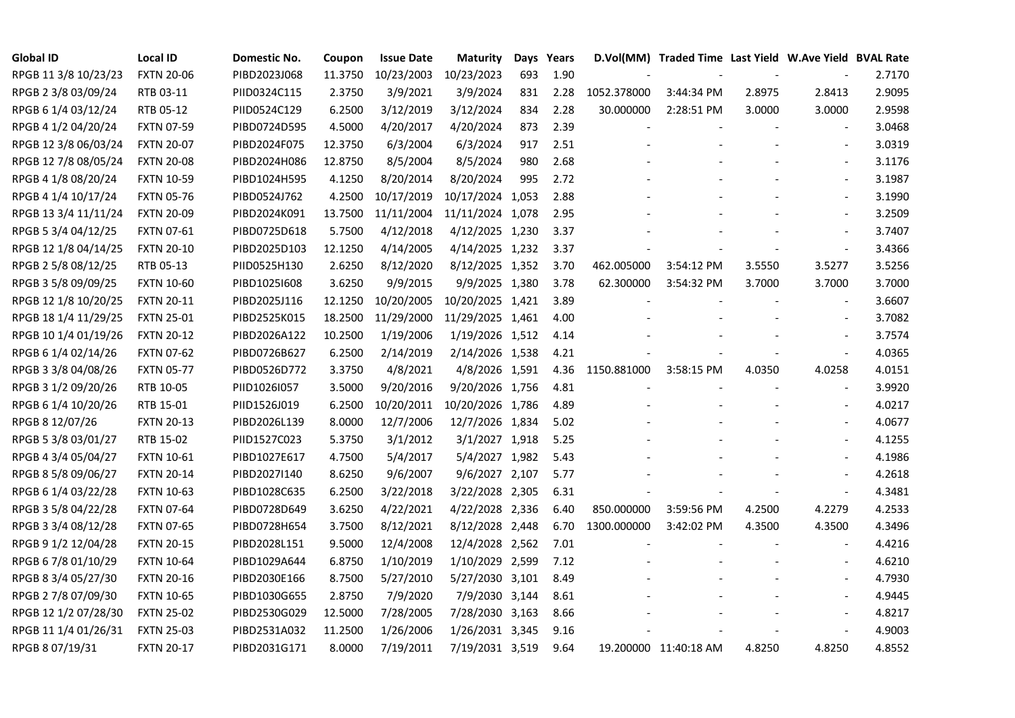| <b>Global ID</b>     | <b>Local ID</b>   | Domestic No. | Coupon  | <b>Issue Date</b> | <b>Maturity</b>  |     | Days Years |             | D.Vol(MM) Traded Time Last Yield W.Ave Yield BVAL Rate |        |                          |        |
|----------------------|-------------------|--------------|---------|-------------------|------------------|-----|------------|-------------|--------------------------------------------------------|--------|--------------------------|--------|
| RPGB 11 3/8 10/23/23 | <b>FXTN 20-06</b> | PIBD2023J068 | 11.3750 | 10/23/2003        | 10/23/2023       | 693 | 1.90       |             |                                                        |        |                          | 2.7170 |
| RPGB 2 3/8 03/09/24  | RTB 03-11         | PIID0324C115 | 2.3750  | 3/9/2021          | 3/9/2024         | 831 | 2.28       | 1052.378000 | 3:44:34 PM                                             | 2.8975 | 2.8413                   | 2.9095 |
| RPGB 6 1/4 03/12/24  | RTB 05-12         | PIID0524C129 | 6.2500  | 3/12/2019         | 3/12/2024        | 834 | 2.28       | 30.000000   | 2:28:51 PM                                             | 3.0000 | 3.0000                   | 2.9598 |
| RPGB 4 1/2 04/20/24  | <b>FXTN 07-59</b> | PIBD0724D595 | 4.5000  | 4/20/2017         | 4/20/2024        | 873 | 2.39       |             |                                                        |        | $\overline{\phantom{a}}$ | 3.0468 |
| RPGB 12 3/8 06/03/24 | <b>FXTN 20-07</b> | PIBD2024F075 | 12.3750 | 6/3/2004          | 6/3/2024         | 917 | 2.51       |             |                                                        |        | $\overline{\phantom{a}}$ | 3.0319 |
| RPGB 12 7/8 08/05/24 | <b>FXTN 20-08</b> | PIBD2024H086 | 12.8750 | 8/5/2004          | 8/5/2024         | 980 | 2.68       |             |                                                        |        | $\blacksquare$           | 3.1176 |
| RPGB 4 1/8 08/20/24  | <b>FXTN 10-59</b> | PIBD1024H595 | 4.1250  | 8/20/2014         | 8/20/2024        | 995 | 2.72       |             |                                                        |        | $\blacksquare$           | 3.1987 |
| RPGB 4 1/4 10/17/24  | <b>FXTN 05-76</b> | PIBD0524J762 | 4.2500  | 10/17/2019        | 10/17/2024 1,053 |     | 2.88       |             |                                                        |        |                          | 3.1990 |
| RPGB 13 3/4 11/11/24 | <b>FXTN 20-09</b> | PIBD2024K091 | 13.7500 | 11/11/2004        | 11/11/2024 1,078 |     | 2.95       |             |                                                        |        |                          | 3.2509 |
| RPGB 5 3/4 04/12/25  | FXTN 07-61        | PIBD0725D618 | 5.7500  | 4/12/2018         | 4/12/2025 1,230  |     | 3.37       |             |                                                        |        | $\overline{a}$           | 3.7407 |
| RPGB 12 1/8 04/14/25 | <b>FXTN 20-10</b> | PIBD2025D103 | 12.1250 | 4/14/2005         | 4/14/2025 1,232  |     | 3.37       |             |                                                        |        | $\blacksquare$           | 3.4366 |
| RPGB 2 5/8 08/12/25  | RTB 05-13         | PIID0525H130 | 2.6250  | 8/12/2020         | 8/12/2025 1,352  |     | 3.70       | 462.005000  | 3:54:12 PM                                             | 3.5550 | 3.5277                   | 3.5256 |
| RPGB 3 5/8 09/09/25  | <b>FXTN 10-60</b> | PIBD10251608 | 3.6250  | 9/9/2015          | 9/9/2025 1,380   |     | 3.78       | 62.300000   | 3:54:32 PM                                             | 3.7000 | 3.7000                   | 3.7000 |
| RPGB 12 1/8 10/20/25 | <b>FXTN 20-11</b> | PIBD2025J116 | 12.1250 | 10/20/2005        | 10/20/2025 1,421 |     | 3.89       |             |                                                        |        | $\blacksquare$           | 3.6607 |
| RPGB 18 1/4 11/29/25 | <b>FXTN 25-01</b> | PIBD2525K015 | 18.2500 | 11/29/2000        | 11/29/2025 1,461 |     | 4.00       |             |                                                        |        | $\sim$                   | 3.7082 |
| RPGB 10 1/4 01/19/26 | <b>FXTN 20-12</b> | PIBD2026A122 | 10.2500 | 1/19/2006         | 1/19/2026 1,512  |     | 4.14       |             |                                                        |        | $\overline{a}$           | 3.7574 |
| RPGB 6 1/4 02/14/26  | <b>FXTN 07-62</b> | PIBD0726B627 | 6.2500  | 2/14/2019         | 2/14/2026 1,538  |     | 4.21       |             |                                                        |        | $\overline{\phantom{a}}$ | 4.0365 |
| RPGB 3 3/8 04/08/26  | <b>FXTN 05-77</b> | PIBD0526D772 | 3.3750  | 4/8/2021          | 4/8/2026 1,591   |     | 4.36       | 1150.881000 | 3:58:15 PM                                             | 4.0350 | 4.0258                   | 4.0151 |
| RPGB 3 1/2 09/20/26  | RTB 10-05         | PIID1026I057 | 3.5000  | 9/20/2016         | 9/20/2026 1,756  |     | 4.81       |             |                                                        |        | $\blacksquare$           | 3.9920 |
| RPGB 6 1/4 10/20/26  | RTB 15-01         | PIID1526J019 | 6.2500  | 10/20/2011        | 10/20/2026 1,786 |     | 4.89       |             |                                                        |        | $\blacksquare$           | 4.0217 |
| RPGB 8 12/07/26      | <b>FXTN 20-13</b> | PIBD2026L139 | 8.0000  | 12/7/2006         | 12/7/2026 1,834  |     | 5.02       |             |                                                        |        | $\blacksquare$           | 4.0677 |
| RPGB 5 3/8 03/01/27  | RTB 15-02         | PIID1527C023 | 5.3750  | 3/1/2012          | 3/1/2027 1,918   |     | 5.25       |             |                                                        |        |                          | 4.1255 |
| RPGB 4 3/4 05/04/27  | <b>FXTN 10-61</b> | PIBD1027E617 | 4.7500  | 5/4/2017          | 5/4/2027 1,982   |     | 5.43       |             |                                                        |        |                          | 4.1986 |
| RPGB 8 5/8 09/06/27  | <b>FXTN 20-14</b> | PIBD2027I140 | 8.6250  | 9/6/2007          | 9/6/2027 2,107   |     | 5.77       |             |                                                        |        |                          | 4.2618 |
| RPGB 6 1/4 03/22/28  | <b>FXTN 10-63</b> | PIBD1028C635 | 6.2500  | 3/22/2018         | 3/22/2028 2,305  |     | 6.31       |             |                                                        |        | $\overline{\phantom{a}}$ | 4.3481 |
| RPGB 3 5/8 04/22/28  | <b>FXTN 07-64</b> | PIBD0728D649 | 3.6250  | 4/22/2021         | 4/22/2028 2,336  |     | 6.40       | 850.000000  | 3:59:56 PM                                             | 4.2500 | 4.2279                   | 4.2533 |
| RPGB 3 3/4 08/12/28  | <b>FXTN 07-65</b> | PIBD0728H654 | 3.7500  | 8/12/2021         | 8/12/2028 2,448  |     | 6.70       | 1300.000000 | 3:42:02 PM                                             | 4.3500 | 4.3500                   | 4.3496 |
| RPGB 9 1/2 12/04/28  | <b>FXTN 20-15</b> | PIBD2028L151 | 9.5000  | 12/4/2008         | 12/4/2028 2,562  |     | 7.01       |             |                                                        |        | $\blacksquare$           | 4.4216 |
| RPGB 67/8 01/10/29   | <b>FXTN 10-64</b> | PIBD1029A644 | 6.8750  | 1/10/2019         | 1/10/2029 2,599  |     | 7.12       |             |                                                        |        |                          | 4.6210 |
| RPGB 8 3/4 05/27/30  | <b>FXTN 20-16</b> | PIBD2030E166 | 8.7500  | 5/27/2010         | 5/27/2030 3,101  |     | 8.49       |             |                                                        |        |                          | 4.7930 |
| RPGB 2 7/8 07/09/30  | <b>FXTN 10-65</b> | PIBD1030G655 | 2.8750  | 7/9/2020          | 7/9/2030 3,144   |     | 8.61       |             |                                                        |        |                          | 4.9445 |
| RPGB 12 1/2 07/28/30 | <b>FXTN 25-02</b> | PIBD2530G029 | 12.5000 | 7/28/2005         | 7/28/2030 3,163  |     | 8.66       |             |                                                        |        | $\blacksquare$           | 4.8217 |
| RPGB 11 1/4 01/26/31 | <b>FXTN 25-03</b> | PIBD2531A032 | 11.2500 | 1/26/2006         | 1/26/2031 3,345  |     | 9.16       |             |                                                        |        | $\blacksquare$           | 4.9003 |
| RPGB 8 07/19/31      | <b>FXTN 20-17</b> | PIBD2031G171 | 8.0000  | 7/19/2011         | 7/19/2031 3,519  |     | 9.64       |             | 19.200000 11:40:18 AM                                  | 4.8250 | 4.8250                   | 4.8552 |